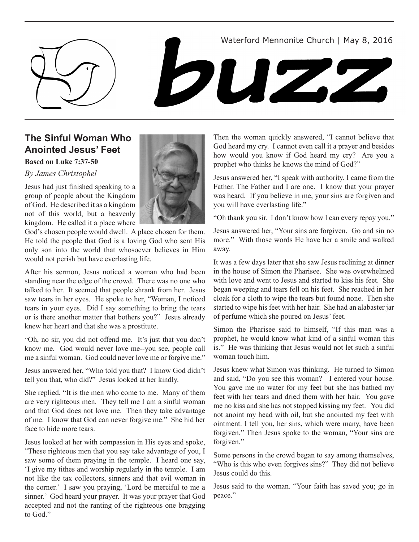



## **The Sinful Woman Who Anointed Jesus' Feet**

### **Based on Luke 7:37-50**

*By James Christophel*

Jesus had just finished speaking to a group of people about the Kingdom of God. He described it as a kingdom not of this world, but a heavenly kingdom. He called it a place where



God's chosen people would dwell. A place chosen for them. He told the people that God is a loving God who sent His only son into the world that whosoever believes in Him would not perish but have everlasting life.

After his sermon, Jesus noticed a woman who had been standing near the edge of the crowd. There was no one who talked to her. It seemed that people shrank from her. Jesus saw tears in her eyes. He spoke to her, "Woman, I noticed tears in your eyes. Did I say something to bring the tears or is there another matter that bothers you?" Jesus already knew her heart and that she was a prostitute.

"Oh, no sir, you did not offend me. It's just that you don't know me. God would never love me--you see, people call me a sinful woman. God could never love me or forgive me."

Jesus answered her, "Who told you that? I know God didn't tell you that, who did?" Jesus looked at her kindly.

She replied, "It is the men who come to me. Many of them are very righteous men. They tell me I am a sinful woman and that God does not love me. Then they take advantage of me. I know that God can never forgive me." She hid her face to hide more tears.

Jesus looked at her with compassion in His eyes and spoke, "These righteous men that you say take advantage of you, I saw some of them praying in the temple. I heard one say, 'I give my tithes and worship regularly in the temple. I am not like the tax collectors, sinners and that evil woman in the corner.' I saw you praying, 'Lord be merciful to me a sinner.' God heard your prayer. It was your prayer that God accepted and not the ranting of the righteous one bragging to God."

Then the woman quickly answered, "I cannot believe that God heard my cry. I cannot even call it a prayer and besides how would you know if God heard my cry? Are you a prophet who thinks he knows the mind of God?"

Jesus answered her, "I speak with authority. I came from the Father. The Father and I are one. I know that your prayer was heard. If you believe in me, your sins are forgiven and you will have everlasting life."

"Oh thank you sir. I don't know how I can every repay you."

Jesus answered her, "Your sins are forgiven. Go and sin no more." With those words He have her a smile and walked away.

It was a few days later that she saw Jesus reclining at dinner in the house of Simon the Pharisee. She was overwhelmed with love and went to Jesus and started to kiss his feet. She began weeping and tears fell on his feet. She reached in her cloak for a cloth to wipe the tears but found none. Then she started to wipe his feet with her hair. She had an alabaster jar of perfume which she poured on Jesus' feet.

Simon the Pharisee said to himself, "If this man was a prophet, he would know what kind of a sinful woman this is." He was thinking that Jesus would not let such a sinful woman touch him.

Jesus knew what Simon was thinking. He turned to Simon and said, "Do you see this woman? I entered your house. You gave me no water for my feet but she has bathed my feet with her tears and dried them with her hair. You gave me no kiss and she has not stopped kissing my feet. You did not anoint my head with oil, but she anointed my feet with ointment. I tell you, her sins, which were many, have been forgiven." Then Jesus spoke to the woman, "Your sins are forgiven."

Some persons in the crowd began to say among themselves, "Who is this who even forgives sins?" They did not believe Jesus could do this.

Jesus said to the woman. "Your faith has saved you; go in peace."